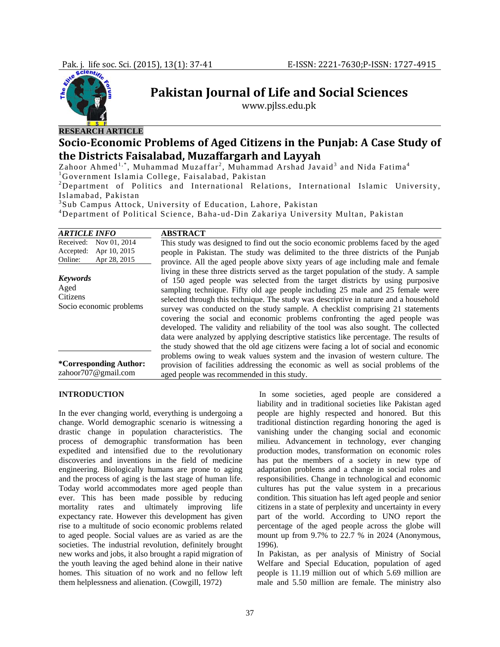

# **Pakistan Journal of Life and Social Sciences**

www.pjlss.edu.pk

# **SocioEconomic Problems of Aged Citizens in the Punjab: A Case Study of the Districts Faisalabad, Muzaffargarh and Layyah**

Zahoor Ahmed $^{1,\ast}$ , Muhammad Muzaffar<sup>2</sup>, Muhammad Arshad Javaid<sup>3</sup> and Nida Fatima<sup>4</sup> <sup>1</sup>Government Islamia College, Faisalabad, Pakistan

<sup>2</sup>Department of Politics and International Relations, International Islamic University, Islamabad, Pakistan

3 Sub Campus Attock, University of Education, Lahore, Pakistan

4 Department of Political Science, Baha-ud-Din Zakariya University Multan, Pakistan

| <b>ARTICLE INFO</b>                                                               | <b>ABSTRACT</b>                                                                                                                                                                                                                                                                                                                                                                                                                                                                                                                                                                                                                                                                                                                                                                      |  |  |
|-----------------------------------------------------------------------------------|--------------------------------------------------------------------------------------------------------------------------------------------------------------------------------------------------------------------------------------------------------------------------------------------------------------------------------------------------------------------------------------------------------------------------------------------------------------------------------------------------------------------------------------------------------------------------------------------------------------------------------------------------------------------------------------------------------------------------------------------------------------------------------------|--|--|
| Nov 01, 2014<br>Received:<br>Apr 10, 2015<br>Accepted:<br>Apr 28, 2015<br>Online: | This study was designed to find out the socio economic problems faced by the aged<br>people in Pakistan. The study was delimited to the three districts of the Punjab<br>province. All the aged people above sixty years of age including male and female                                                                                                                                                                                                                                                                                                                                                                                                                                                                                                                            |  |  |
| <b>Keywords</b><br>Aged<br>Citizens<br>Socio economic problems                    | living in these three districts served as the target population of the study. A sample<br>of 150 aged people was selected from the target districts by using purposive<br>sampling technique. Fifty old age people including 25 male and 25 female were<br>selected through this technique. The study was descriptive in nature and a household<br>survey was conducted on the study sample. A checklist comprising 21 statements<br>covering the social and economic problems confronting the aged people was<br>developed. The validity and reliability of the tool was also sought. The collected<br>data were analyzed by applying descriptive statistics like percentage. The results of<br>the study showed that the old age citizens were facing a lot of social and economic |  |  |
| <i>*Corresponding Author:</i><br>zahoor707@gmail.com                              | problems owing to weak values system and the invasion of western culture. The<br>provision of facilities addressing the economic as well as social problems of the<br>aged people was recommended in this study.                                                                                                                                                                                                                                                                                                                                                                                                                                                                                                                                                                     |  |  |

#### **INTRODUCTION**

In the ever changing world, everything is undergoing a change. World demographic scenario is witnessing a drastic change in population characteristics. The process of demographic transformation has been expedited and intensified due to the revolutionary discoveries and inventions in the field of medicine engineering. Biologically humans are prone to aging and the process of aging is the last stage of human life. Today world accommodates more aged people than ever. This has been made possible by reducing mortality rates and ultimately improving life expectancy rate. However this development has given rise to a multitude of socio economic problems related to aged people. Social values are as varied as are the societies. The industrial revolution, definitely brought new works and jobs, it also brought a rapid migration of the youth leaving the aged behind alone in their native homes. This situation of no work and no fellow left them helplessness and alienation. (Cowgill, 1972)

 In some societies, aged people are considered a liability and in traditional societies like Pakistan aged people are highly respected and honored. But this traditional distinction regarding honoring the aged is vanishing under the changing social and economic milieu. Advancement in technology, ever changing production modes, transformation on economic roles has put the members of a society in new type of adaptation problems and a change in social roles and responsibilities. Change in technological and economic cultures has put the value system in a precarious condition. This situation has left aged people and senior citizens in a state of perplexity and uncertainty in every part of the world. According to UNO report the percentage of the aged people across the globe will mount up from 9.7% to 22.7 % in 2024 (Anonymous, 1996).

In Pakistan, as per analysis of Ministry of Social Welfare and Special Education, population of aged people is 11.19 million out of which 5.69 million are male and 5.50 million are female. The ministry also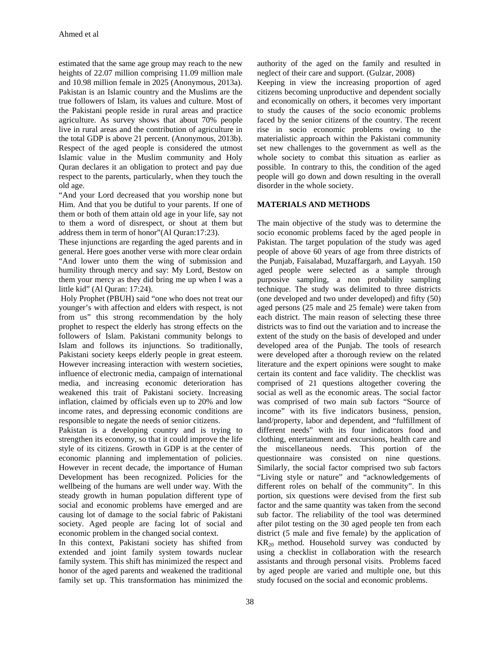estimated that the same age group may reach to the new heights of 22.07 million comprising 11.09 million male and 10.98 million female in 2025 (Anonymous, 2013a). Pakistan is an Islamic country and the Muslims are the true followers of Islam, its values and culture. Most of the Pakistani people reside in rural areas and practice agriculture. As survey shows that about 70% people live in rural areas and the contribution of agriculture in the total GDP is above 21 percent. (Anonymous, 2013b). Respect of the aged people is considered the utmost Islamic value in the Muslim community and Holy Quran declares it an obligation to protect and pay due respect to the parents, particularly, when they touch the old age.

"And your Lord decreased that you worship none but Him. And that you be dutiful to your parents. If one of them or both of them attain old age in your life, say not to them a word of disrespect, or shout at them but address them in term of honor"(Al Quran:17:23).

These injunctions are regarding the aged parents and in general. Here goes another verse with more clear ordain "And lower unto them the wing of submission and humility through mercy and say: My Lord, Bestow on them your mercy as they did bring me up when I was a little kid" (Al Quran: 17:24).

 Holy Prophet (PBUH) said "one who does not treat our younger's with affection and elders with respect, is not from us" this strong recommendation by the holy prophet to respect the elderly has strong effects on the followers of Islam. Pakistani community belongs to Islam and follows its injunctions. So traditionally, Pakistani society keeps elderly people in great esteem. However increasing interaction with western societies, influence of electronic media, campaign of international media, and increasing economic deterioration has weakened this trait of Pakistani society. Increasing inflation, claimed by officials even up to 20% and low income rates, and depressing economic conditions are responsible to negate the needs of senior citizens.

Pakistan is a developing country and is trying to strengthen its economy, so that it could improve the life style of its citizens. Growth in GDP is at the center of economic planning and implementation of policies. However in recent decade, the importance of Human Development has been recognized. Policies for the wellbeing of the humans are well under way. With the steady growth in human population different type of social and economic problems have emerged and are causing lot of damage to the social fabric of Pakistani society. Aged people are facing lot of social and economic problem in the changed social context.

In this context, Pakistani society has shifted from extended and joint family system towards nuclear family system. This shift has minimized the respect and honor of the aged parents and weakened the traditional family set up. This transformation has minimized the

authority of the aged on the family and resulted in neglect of their care and support. (Gulzar, 2008)

Keeping in view the increasing proportion of aged citizens becoming unproductive and dependent socially and economically on others, it becomes very important to study the causes of the socio economic problems faced by the senior citizens of the country. The recent rise in socio economic problems owing to the materialistic approach within the Pakistani community set new challenges to the government as well as the whole society to combat this situation as earlier as possible. In contrary to this, the condition of the aged people will go down and down resulting in the overall disorder in the whole society.

# **MATERIALS AND METHODS**

The main objective of the study was to determine the socio economic problems faced by the aged people in Pakistan. The target population of the study was aged people of above 60 years of age from three districts of the Punjab, Faisalabad, Muzaffargarh, and Layyah. 150 aged people were selected as a sample through purposive sampling, a non probability sampling technique. The study was delimited to three districts (one developed and two under developed) and fifty (50) aged persons (25 male and 25 female) were taken from each district. The main reason of selecting these three districts was to find out the variation and to increase the extent of the study on the basis of developed and under developed area of the Punjab. The tools of research were developed after a thorough review on the related literature and the expert opinions were sought to make certain its content and face validity. The checklist was comprised of 21 questions altogether covering the social as well as the economic areas. The social factor was comprised of two main sub factors "Source of income" with its five indicators business, pension, land/property, labor and dependent, and "fulfillment of different needs" with its four indicators food and clothing, entertainment and excursions, health care and the miscellaneous needs. This portion of the questionnaire was consisted on nine questions. Similarly, the social factor comprised two sub factors "Living style or nature" and "acknowledgements of different roles on behalf of the community". In this portion, six questions were devised from the first sub factor and the same quantity was taken from the second sub factor. The reliability of the tool was determined after pilot testing on the 30 aged people ten from each district (5 male and five female) by the application of KR20 method. Household survey was conducted by using a checklist in collaboration with the research assistants and through personal visits. Problems faced by aged people are varied and multiple one, but this study focused on the social and economic problems.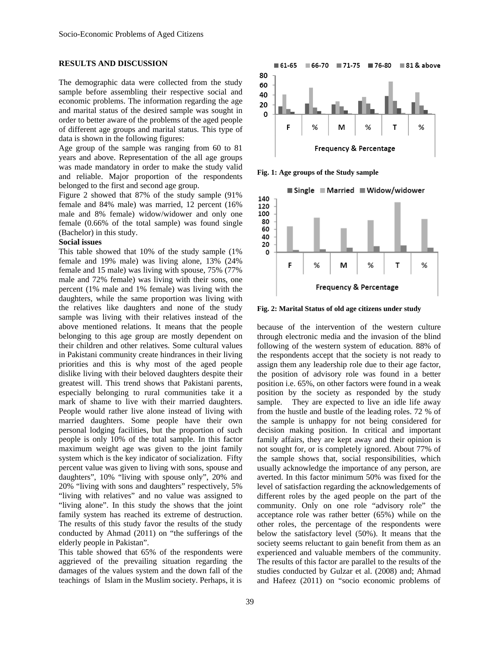### **RESULTS AND DISCUSSION**

The demographic data were collected from the study sample before assembling their respective social and economic problems. The information regarding the age and marital status of the desired sample was sought in order to better aware of the problems of the aged people of different age groups and marital status. This type of data is shown in the following figures:

Age group of the sample was ranging from 60 to 81 years and above. Representation of the all age groups was made mandatory in order to make the study valid and reliable. Major proportion of the respondents belonged to the first and second age group.

Figure 2 showed that 87% of the study sample (91% female and 84% male) was married, 12 percent (16% male and 8% female) widow/widower and only one female (0.66% of the total sample) was found single (Bachelor) in this study.

#### **Social issues**

This table showed that 10% of the study sample (1% female and 19% male) was living alone, 13% (24% female and 15 male) was living with spouse, 75% (77% male and 72% female) was living with their sons, one percent (1% male and 1% female) was living with the daughters, while the same proportion was living with the relatives like daughters and none of the study sample was living with their relatives instead of the above mentioned relations. It means that the people belonging to this age group are mostly dependent on their children and other relatives. Some cultural values in Pakistani community create hindrances in their living priorities and this is why most of the aged people dislike living with their beloved daughters despite their greatest will. This trend shows that Pakistani parents, especially belonging to rural communities take it a mark of shame to live with their married daughters. People would rather live alone instead of living with married daughters. Some people have their own personal lodging facilities, but the proportion of such people is only 10% of the total sample. In this factor maximum weight age was given to the joint family system which is the key indicator of socialization. Fifty percent value was given to living with sons, spouse and daughters", 10% "living with spouse only", 20% and 20% "living with sons and daughters" respectively, 5% "living with relatives" and no value was assigned to "living alone". In this study the shows that the joint family system has reached its extreme of destruction. The results of this study favor the results of the study conducted by Ahmad (2011) on "the sufferings of the elderly people in Pakistan".

This table showed that 65% of the respondents were aggrieved of the prevailing situation regarding the damages of the values system and the down fall of the teachings of Islam in the Muslim society. Perhaps, it is



**Fig. 1: Age groups of the Study sample** 



**Fig. 2: Marital Status of old age citizens under study** 

because of the intervention of the western culture through electronic media and the invasion of the blind following of the western system of education. 88% of the respondents accept that the society is not ready to assign them any leadership role due to their age factor, the position of advisory role was found in a better position i.e. 65%, on other factors were found in a weak position by the society as responded by the study sample. They are expected to live an idle life away from the hustle and bustle of the leading roles. 72 % of the sample is unhappy for not being considered for decision making position. In critical and important family affairs, they are kept away and their opinion is not sought for, or is completely ignored. About 77% of the sample shows that, social responsibilities, which usually acknowledge the importance of any person, are averted. In this factor minimum 50% was fixed for the level of satisfaction regarding the acknowledgements of different roles by the aged people on the part of the community. Only on one role "advisory role" the acceptance role was rather better (65%) while on the other roles, the percentage of the respondents were below the satisfactory level (50%). It means that the society seems reluctant to gain benefit from them as an experienced and valuable members of the community. The results of this factor are parallel to the results of the studies conducted by Gulzar et al. (2008) and; Ahmad and Hafeez (2011) on "socio economic problems of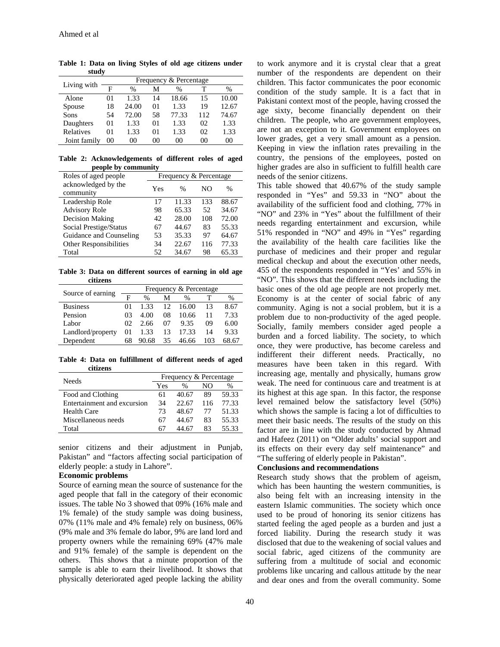| Living with      | Frequency & Percentage |               |         |       |     |       |  |
|------------------|------------------------|---------------|---------|-------|-----|-------|--|
|                  | F                      | $\frac{0}{0}$ | М       | %     |     | $\%$  |  |
| Alone            | 01                     | 1.33          | 14      | 18.66 | 15  | 10.00 |  |
| Spouse           | 18                     | 24.00         | 01      | 1.33  | 19  | 12.67 |  |
| Sons             | 54                     | 72.00         | 58      | 77.33 | 112 | 74.67 |  |
| Daughters        | $^{01}$                | 1.33          | $^{01}$ | 1.33  | 02  | 1.33  |  |
| <b>Relatives</b> | $^{01}$                | 1.33          | $^{01}$ | 1.33  | 02  | 1.33  |  |
| Joint family     | 00                     | 00            | 00      | ററ    | 00  | 00    |  |

**Table 1: Data on living Styles of old age citizens under study** 

**Table 2: Acknowledgements of different roles of aged people by community** 

| P = 0 p = 0 p = 7             |                        |       |     |               |  |
|-------------------------------|------------------------|-------|-----|---------------|--|
| Roles of aged people          | Frequency & Percentage |       |     |               |  |
| acknowledged by the           | Yes                    | $\%$  | NΟ  | $\frac{0}{0}$ |  |
| community                     |                        |       |     |               |  |
| Leadership Role               | 17                     | 11.33 | 133 | 88.67         |  |
| <b>Advisory Role</b>          | 98                     | 65.33 | 52  | 34.67         |  |
| <b>Decision Making</b>        | 42                     | 28.00 | 108 | 72.00         |  |
| Social Prestige/Status        | 67                     | 44.67 | 83  | 55.33         |  |
| Guidance and Counseling       | 53                     | 35.33 | 97  | 64.67         |  |
| <b>Other Responsibilities</b> | 34                     | 22.67 | 116 | 77.33         |  |
| Total                         | 52                     | 34.67 | 98  | 65.33         |  |

**Table 3: Data on different sources of earning in old age citizens** 

|                   | Frequency & Percentage |               |                 |       |     |       |
|-------------------|------------------------|---------------|-----------------|-------|-----|-------|
| Source of earning | F                      | $\frac{0}{0}$ | М               | $\%$  |     | %     |
| <b>Business</b>   | 01                     | 1.33          | 12 <sub>2</sub> | 16.00 | 13  | 8.67  |
| Pension           | 03                     | 4.00          | 08              | 10.66 | 11  | 7.33  |
| Labor             | 02                     | 2.66          | 07              | 9.35  | 09  | 6.00  |
| Landlord/property | 01                     | 1.33          | 13              | 17.33 | 14  | 9.33  |
| Dependent         | 68                     | 90.68         | 35              | 46.66 | 103 | 68.67 |

**Table 4: Data on fulfillment of different needs of aged citizens** 

| <b>Needs</b>                | Frequency & Percentage |       |     |       |  |
|-----------------------------|------------------------|-------|-----|-------|--|
|                             | Yes                    | %     | NΟ  | $\%$  |  |
| Food and Clothing           | 61                     | 40.67 | 89  | 59.33 |  |
| Entertainment and excursion | 34                     | 22.67 | 116 | 77.33 |  |
| Health Care                 | 73                     | 48.67 | 77  | 51.33 |  |
| Miscellaneous needs         | 67                     | 44.67 | 83  | 55.33 |  |
| Total                       |                        |       | 83  | 55.33 |  |

senior citizens and their adjustment in Punjab, Pakistan" and "factors affecting social participation of elderly people: a study in Lahore".

#### **Economic problems**

Source of earning mean the source of sustenance for the aged people that fall in the category of their economic issues. The table No 3 showed that 09% (16% male and 1% female) of the study sample was doing business, 07% (11% male and 4% female) rely on business, 06% (9% male and 3% female do labor, 9% are land lord and property owners while the remaining 69% (47% male and 91% female) of the sample is dependent on the others. This shows that a minute proportion of the sample is able to earn their livelihood. It shows that physically deteriorated aged people lacking the ability

to work anymore and it is crystal clear that a great number of the respondents are dependent on their children. This factor communicates the poor economic condition of the study sample. It is a fact that in Pakistani context most of the people, having crossed the age sixty, become financially dependent on their children. The people, who are government employees, are not an exception to it. Government employees on lower grades, get a very small amount as a pension. Keeping in view the inflation rates prevailing in the country, the pensions of the employees, posted on higher grades are also in sufficient to fulfill health care needs of the senior citizens.

This table showed that 40.67% of the study sample responded in "Yes" and 59.33 in "NO" about the availability of the sufficient food and clothing, 77% in "NO" and 23% in "Yes" about the fulfillment of their needs regarding entertainment and excursion, while 51% responded in "NO" and 49% in "Yes" regarding the availability of the health care facilities like the purchase of medicines and their proper and regular medical checkup and about the execution other needs, 455 of the respondents responded in "Yes' and 55% in "NO". This shows that the different needs including the basic ones of the old age people are not properly met. Economy is at the center of social fabric of any community. Aging is not a social problem, but it is a problem due to non-productivity of the aged people. Socially, family members consider aged people a burden and a forced liability. The society, to which once, they were productive, has become careless and indifferent their different needs. Practically, no measures have been taken in this regard. With increasing age, mentally and physically, humans grow weak. The need for continuous care and treatment is at its highest at this age span. In this factor, the response level remained below the satisfactory level (50%) which shows the sample is facing a lot of difficulties to meet their basic needs. The results of the study on this factor are in line with the study conducted by Ahmad and Hafeez (2011) on "Older adults' social support and its effects on their every day self maintenance" and "The suffering of elderly people in Pakistan".

### **Conclusions and recommendations**

Research study shows that the problem of ageism, which has been haunting the western communities, is also being felt with an increasing intensity in the eastern Islamic communities. The society which once used to be proud of honoring its senior citizens has started feeling the aged people as a burden and just a forced liability. During the research study it was disclosed that due to the weakening of social values and social fabric, aged citizens of the community are suffering from a multitude of social and economic problems like uncaring and callous attitude by the near and dear ones and from the overall community. Some